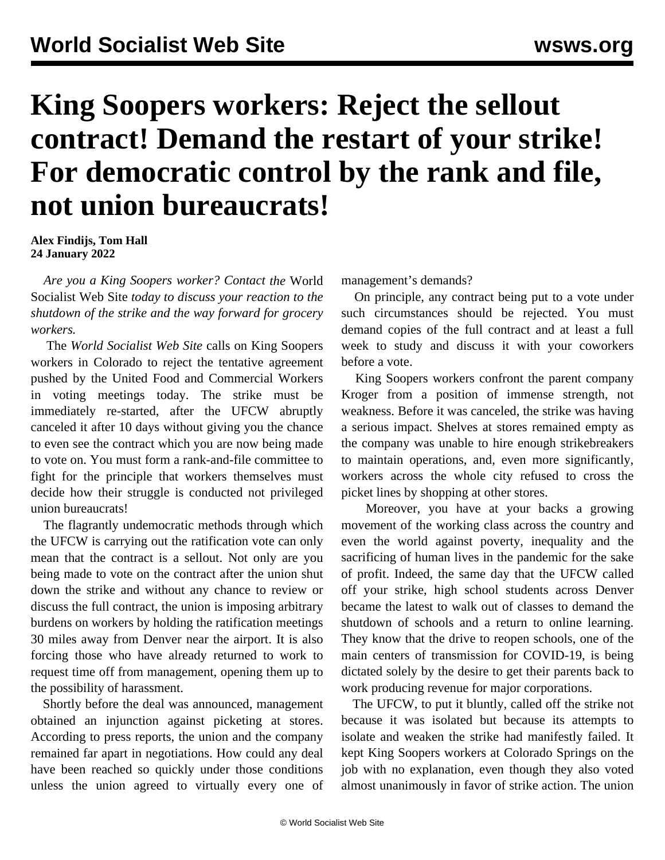## **King Soopers workers: Reject the sellout contract! Demand the restart of your strike! For democratic control by the rank and file, not union bureaucrats!**

**Alex Findijs, Tom Hall 24 January 2022**

 *Are you a King Soopers worker? [Contact](/en/special/pages/contact.html) the* World Socialist Web Site *today to discuss your reaction to the shutdown of the strike and the way forward for grocery workers.*

 The *World Socialist Web Site* calls on King Soopers workers in Colorado to reject the tentative agreement pushed by the United Food and Commercial Workers in voting meetings today. The strike must be immediately re-started, after the UFCW abruptly canceled it after 10 days without giving you the chance to even see the contract which you are now being made to vote on. You must form a rank-and-file committee to fight for the principle that workers themselves must decide how their struggle is conducted not privileged union bureaucrats!

 The flagrantly undemocratic methods through which the UFCW is carrying out the ratification vote can only mean that the contract is a sellout. Not only are you being made to vote on the contract after the union shut down the strike and without any chance to review or discuss the full contract, the union is imposing arbitrary burdens on workers by holding the ratification meetings 30 miles away from Denver near the airport. It is also forcing those who have already returned to work to request time off from management, opening them up to the possibility of harassment.

 Shortly before the deal was announced, management obtained an injunction against picketing at stores. According to press reports, the union and the company remained far apart in negotiations. How could any deal have been reached so quickly under those conditions unless the union agreed to virtually every one of

management's demands?

 On principle, any contract being put to a vote under such circumstances should be rejected. You must demand copies of the full contract and at least a full week to study and discuss it with your coworkers before a vote.

 King Soopers workers confront the parent company Kroger from a position of immense strength, not weakness. Before it was canceled, the strike was having a serious impact. Shelves at stores remained empty as the company was unable to hire enough strikebreakers to maintain operations, and, even more significantly, workers across the whole city refused to cross the picket lines by shopping at other stores.

 Moreover, you have at your backs a growing movement of the working class across the country and even the world against poverty, inequality and the sacrificing of human lives in the pandemic for the sake of profit. Indeed, the same day that the UFCW called off your strike, high school students across Denver became the latest to walk out of classes to demand the shutdown of schools and a return to online learning. They know that the drive to reopen schools, one of the main centers of transmission for COVID-19, is being dictated solely by the desire to get their parents back to work producing revenue for major corporations.

 The UFCW, to put it bluntly, called off the strike not because it was isolated but because its attempts to isolate and weaken the strike had manifestly failed. It kept King Soopers workers at Colorado Springs on the job with no explanation, even though they also voted almost unanimously in favor of strike action. The union